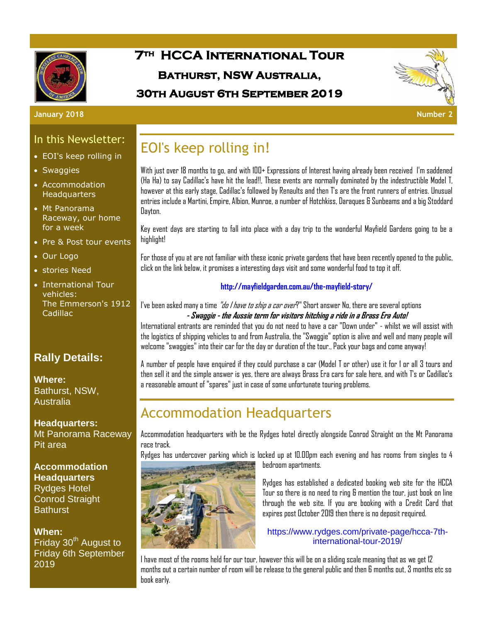

# **7th HCCA International Tour Bathurst, NSW Australia,**

### **30th August 6th September 2019**



#### **January 2018 Number 2**

### In this Newsletter:

- EOI's keep rolling in
- Swaggies
- Accommodation **Headquarters**
- Mt Panorama Raceway, our home for a week
- Pre & Post tour events
- Our Logo
- stories Need
- International Tour vehicles: The Emmerson's 1912 Cadillac

### **Rally Details:**

**Where:**  Bathurst, NSW, **Australia** 

**Headquarters:** Mt Panorama Raceway Pit area

**Accommodation Headquarters** Rydges Hotel Conrod Straight **Bathurst** 

#### **When:**

Friday 30<sup>th</sup> August to Friday 6th September 2019

# EOI's keep rolling in!

With just over 18 months to go, and with 100+ Expressions of Interest having already been received I'm saddened (Ha Ha) to say Cadillac's have hit the lead!!, These events are normally dominated by the indestructible Model T, however at this early stage, Cadillac's followed by Renaults and then T's are the front runners of entries. Unusual entries include a Martini, Empire, Albion, Munroe, a number of Hotchkiss, Daraques & Sunbeams and a big Stoddard Dayton.

Key event days are starting to fall into place with a day trip to the wonderful Mayfield Gardens going to be a highlight!

For those of you at are not familiar with these iconic private gardens that have been recently opened to the public, click on the link below, it promises a interesting days visit and some wonderful food to top it off.

#### **http://mayfieldgarden.com.au/the-mayfield-story/**

#### I've been asked many a time *"do I have to ship a car over*?" Short answer No, there are several options **- Swaggie - the Aussie term for visitors hitching a ride in a Brass Era Auto!**

International entrants are reminded that you do not need to have a car "Down under" - whilst we will assist with the logistics of shipping vehicles to and from Australia, the "Swaggie" option is alive and well and many people will welcome "swaggies" into their car for the day or duration of the tour., Pack your bags and come anyway!

A number of people have enquired if they could purchase a car (Model T or other) use it for 1 or all 3 tours and then sell it and the simple answer is yes, there are always Brass Era cars for sale here, and with T's or Cadillac's a reasonable amount of "spares" just in case of some unfortunate touring problems.

# Accommodation Headquarters

Accommodation headquarters with be the Rydges hotel directly alongside Conrod Straight on the Mt Panorama race track.

Rydges has undercover parking which is locked up at 10.00pm each evening and has rooms from singles to 4



bedroom apartments.

Rydges has established a dedicated booking web site for the HCCA Tour so there is no need to ring & mention the tour, just book on line through the web site. If you are booking with a Credit Card that expires post October 2019 then there is no deposit required.

#### https://www.rydges.com/private-page/hcca-7thinternational-tour-2019/

I have most of the rooms held for our tour, however this will be on a sliding scale meaning that as we get 12 months out a certain number of room will be release to the general public and then 6 months out, 3 months etc so book early.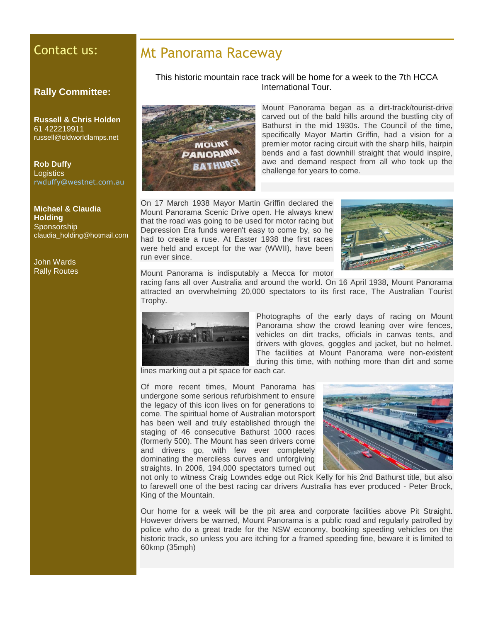### Contact us:

#### **Rally Committee:**

**Russell & Chris Holden** 61 422219911 russell@oldworldlamps.net

**Rob Duffy Logistics** [rwduffy@westnet.com.au](mailto:rwduffy@westnet.com.au)

**Michael & Claudia Holding Sponsorship** claudia\_holding@hotmail.com

John Wards Rally Routes

### Mt Panorama Raceway

This historic mountain race track will be home for a week to the 7th HCCA International Tour.



Mount Panorama began as a dirt-track/tourist-drive carved out of the bald hills around the bustling city of Bathurst in the mid 1930s. The Council of the time, specifically Mayor Martin Griffin, had a vision for a premier motor racing circuit with the sharp hills, hairpin bends and a fast downhill straight that would inspire, awe and demand respect from all who took up the challenge for years to come.

On 17 March 1938 Mayor Martin Griffin declared the Mount Panorama Scenic Drive open. He always knew that the road was going to be used for motor racing but Depression Era funds weren't easy to come by, so he had to create a ruse. At Easter 1938 the first races were held and except for the war (WWII), have been run ever since.



Mount Panorama is indisputably a Mecca for motor

racing fans all over Australia and around the world. On 16 April 1938, Mount Panorama attracted an overwhelming 20,000 spectators to its first race, The Australian Tourist Trophy.



Photographs of the early days of racing on Mount Panorama show the crowd leaning over wire fences, vehicles on dirt tracks, officials in canvas tents, and drivers with gloves, goggles and jacket, but no helmet. The facilities at Mount Panorama were non-existent during this time, with nothing more than dirt and some

lines marking out a pit space for each car.

Of more recent times, Mount Panorama has undergone some serious refurbishment to ensure the legacy of this icon lives on for generations to come. The spiritual home of Australian motorsport has been well and truly established through the staging of 46 consecutive Bathurst 1000 races (formerly 500). The Mount has seen drivers come and drivers go, with few ever completely dominating the merciless curves and unforgiving straights. In 2006, 194,000 spectators turned out



not only to witness Craig Lowndes edge out Rick Kelly for his 2nd Bathurst title, but also to farewell one of the best racing car drivers Australia has ever produced - Peter Brock, King of the Mountain.

Our home for a week will be the pit area and corporate facilities above Pit Straight. However drivers be warned, Mount Panorama is a public road and regularly patrolled by police who do a great trade for the NSW economy, booking speeding vehicles on the historic track, so unless you are itching for a framed speeding fine, beware it is limited to 60kmp (35mph)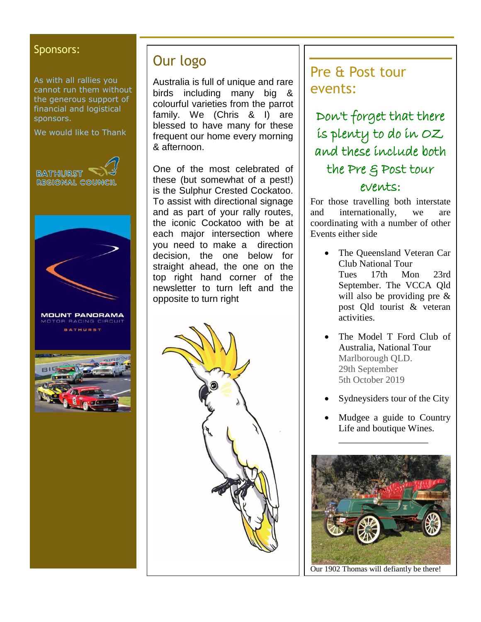#### Sponsors:

As with all rallies you cannot run them without the generous support of financial and logistical sponsors.

We would like to Thank



## Our logo

Australia is full of unique and rare birds including many big & colourful varieties from the parrot family. We (Chris & I) are blessed to have many for these frequent our home every morning & afternoon.

One of the most celebrated of these (but somewhat of a pest!) is the Sulphur Crested Cockatoo. To assist with directional signage and as part of your rally routes, the iconic Cockatoo with be at each major intersection where you need to make a direction decision, the one below for straight ahead, the one on the top right hand corner of the newsletter to turn left and the opposite to turn right



## Pre & Post tour events:

Don't forget that there is plenty to do in OZ and these include both the Pre & Post tour events:

For those travelling both interstate and internationally, we are coordinating with a number of other Events either side

- The Queensland Veteran Car Club National Tour Tues 17th Mon 23rd September. The VCCA Qld will also be providing pre & post Qld tourist & veteran activities.
- The Model T Ford Club of Australia, National Tour Marlborough QLD. 29th September 5th October 2019
- Sydneysiders tour of the City
- Mudgee a guide to Country Life and boutique Wines.

\_\_\_\_\_\_\_\_\_\_\_\_\_\_\_\_\_\_\_



Our 1902 Thomas will defiantly be there!